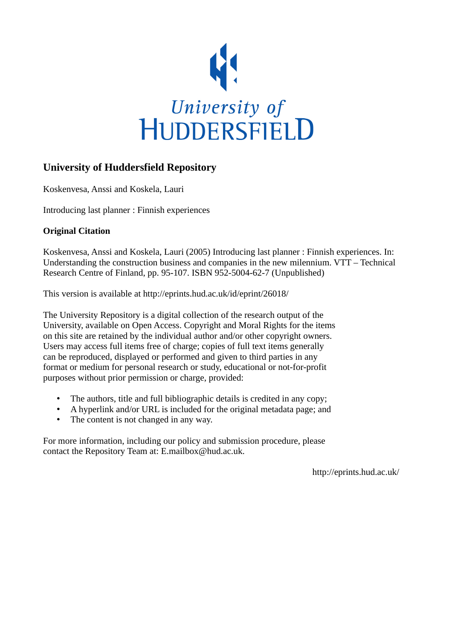

#### **University of Huddersfield Repository**

Koskenvesa, Anssi and Koskela, Lauri

Introducing last planner : Finnish experiences

#### **Original Citation**

Koskenvesa, Anssi and Koskela, Lauri (2005) Introducing last planner : Finnish experiences. In: Understanding the construction business and companies in the new milennium. VTT – Technical Research Centre of Finland, pp. 95-107. ISBN 952-5004-62-7 (Unpublished)

This version is available at http://eprints.hud.ac.uk/id/eprint/26018/

The University Repository is a digital collection of the research output of the University, available on Open Access. Copyright and Moral Rights for the items on this site are retained by the individual author and/or other copyright owners. Users may access full items free of charge; copies of full text items generally can be reproduced, displayed or performed and given to third parties in any format or medium for personal research or study, educational or not-for-profit purposes without prior permission or charge, provided:

- The authors, title and full bibliographic details is credited in any copy;
- A hyperlink and/or URL is included for the original metadata page; and
- The content is not changed in any way.

For more information, including our policy and submission procedure, please contact the Repository Team at: E.mailbox@hud.ac.uk.

http://eprints.hud.ac.uk/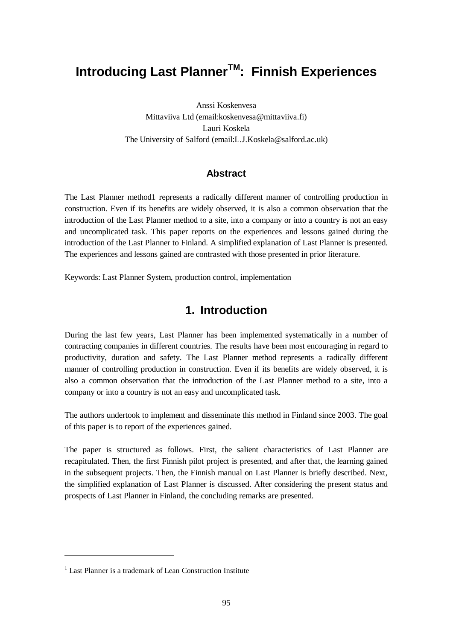# **Introducing Last PlannerTM: Finnish Experiences**

Anssi Koskenvesa Mittaviiva Ltd (email:koskenvesa@mittaviiva.fi) Lauri Koskela The University of Salford (email:L.J.Koskela@salford.ac.uk)

#### **Abstract**

The Last Planner method1 represents a radically different manner of controlling production in construction. Even if its benefits are widely observed, it is also a common observation that the introduction of the Last Planner method to a site, into a company or into a country is not an easy and uncomplicated task. This paper reports on the experiences and lessons gained during the introduction of the Last Planner to Finland. A simplified explanation of Last Planner is presented. The experiences and lessons gained are contrasted with those presented in prior literature.

Keywords: Last Planner System, production control, implementation

#### **1. Introduction**

During the last few years, Last Planner has been implemented systematically in a number of contracting companies in different countries. The results have been most encouraging in regard to productivity, duration and safety. The Last Planner method represents a radically different manner of controlling production in construction. Even if its benefits are widely observed, it is also a common observation that the introduction of the Last Planner method to a site, into a company or into a country is not an easy and uncomplicated task.

The authors undertook to implement and disseminate this method in Finland since 2003. The goal of this paper is to report of the experiences gained.

The paper is structured as follows. First, the salient characteristics of Last Planner are recapitulated. Then, the first Finnish pilot project is presented, and after that, the learning gained in the subsequent projects. Then, the Finnish manual on Last Planner is briefly described. Next, the simplified explanation of Last Planner is discussed. After considering the present status and prospects of Last Planner in Finland, the concluding remarks are presented.

<sup>&</sup>lt;sup>1</sup> Last Planner is a trademark of Lean Construction Institute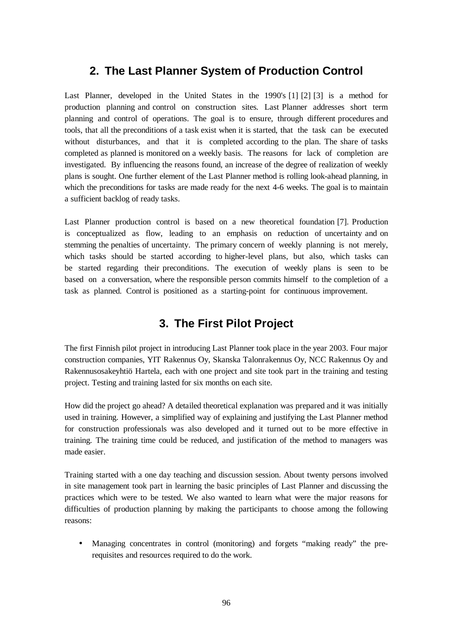#### **2. The Last Planner System of Production Control**

Last Planner, developed in the United States in the 1990's [1] [2] [3] is a method for production planning and control on construction sites. Last Planner addresses short term planning and control of operations. The goal is to ensure, through different procedures and tools, that all the preconditions of a task exist when it is started, that the task can be executed without disturbances, and that it is completed according to the plan. The share of tasks completed as planned is monitored on a weekly basis. The reasons for lack of completion are investigated. By influencing the reasons found, an increase of the degree of realization of weekly plans is sought. One further element of the Last Planner method is rolling look-ahead planning, in which the preconditions for tasks are made ready for the next 4-6 weeks. The goal is to maintain a sufficient backlog of ready tasks.

Last Planner production control is based on a new theoretical foundation [7]. Production is conceptualized as flow, leading to an emphasis on reduction of uncertainty and on stemming the penalties of uncertainty. The primary concern of weekly planning is not merely, which tasks should be started according to higher-level plans, but also, which tasks can be started regarding their preconditions. The execution of weekly plans is seen to be based on a conversation, where the responsible person commits himself to the completion of a task as planned. Control is positioned as a starting-point for continuous improvement.

# **3. The First Pilot Project**

The first Finnish pilot project in introducing Last Planner took place in the year 2003. Four major construction companies, YIT Rakennus Oy, Skanska Talonrakennus Oy, NCC Rakennus Oy and Rakennusosakeyhtiö Hartela, each with one project and site took part in the training and testing project. Testing and training lasted for six months on each site.

How did the project go ahead? A detailed theoretical explanation was prepared and it was initially used in training. However, a simplified way of explaining and justifying the Last Planner method for construction professionals was also developed and it turned out to be more effective in training. The training time could be reduced, and justification of the method to managers was made easier.

Training started with a one day teaching and discussion session. About twenty persons involved in site management took part in learning the basic principles of Last Planner and discussing the practices which were to be tested. We also wanted to learn what were the major reasons for difficulties of production planning by making the participants to choose among the following reasons:

• Managing concentrates in control (monitoring) and forgets "making ready" the prerequisites and resources required to do the work.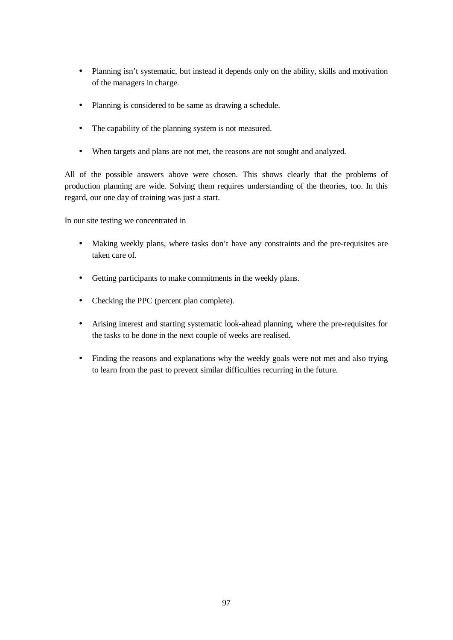- Planning isn't systematic, but instead it depends only on the ability, skills and motivation of the managers in charge.
- Planning is considered to be same as drawing a schedule.
- The capability of the planning system is not measured.
- When targets and plans are not met, the reasons are not sought and analyzed.

All of the possible answers above were chosen. This shows clearly that the problems of production planning are wide. Solving them requires understanding of the theories, too. In this regard, our one day of training was just a start.

In our site testing we concentrated in

- Making weekly plans, where tasks don't have any constraints and the pre-requisites are taken care of.
- Getting participants to make commitments in the weekly plans.
- Checking the PPC (percent plan complete).
- Arising interest and starting systematic look-ahead planning, where the pre-requisites for the tasks to be done in the next couple of weeks are realised.
- Finding the reasons and explanations why the weekly goals were not met and also trying to learn from the past to prevent similar difficulties recurring in the future.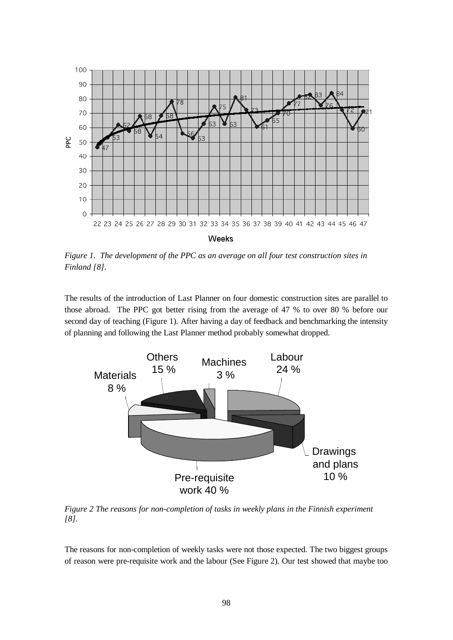

*Figure 1. The development of the PPC as an average on all four test construction sites in Finland [8].*

The results of the introduction of Last Planner on four domestic construction sites are parallel to those abroad. The PPC got better rising from the average of 47 % to over 80 % before our second day of teaching (Figure 1). After having a day of feedback and benchmarking the intensity of planning and following the Last Planner method probably somewhat dropped.



*Figure 2 The reasons for non-completion of tasks in weekly plans in the Finnish experiment [8].*

The reasons for non-completion of weekly tasks were not those expected. The two biggest groups of reason were pre-requisite work and the labour (See Figure 2). Our test showed that maybe too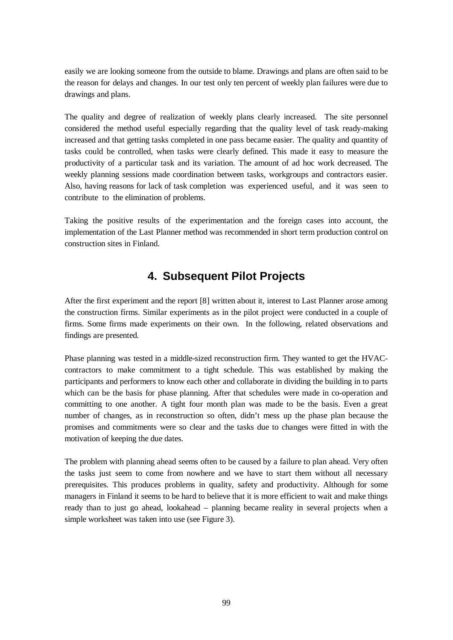easily we are looking someone from the outside to blame. Drawings and plans are often said to be the reason for delays and changes. In our test only ten percent of weekly plan failures were due to drawings and plans.

The quality and degree of realization of weekly plans clearly increased. The site personnel considered the method useful especially regarding that the quality level of task ready-making increased and that getting tasks completed in one pass became easier. The quality and quantity of tasks could be controlled, when tasks were clearly defined. This made it easy to measure the productivity of a particular task and its variation. The amount of ad hoc work decreased. The weekly planning sessions made coordination between tasks, workgroups and contractors easier. Also, having reasons for lack of task completion was experienced useful, and it was seen to contribute to the elimination of problems.

Taking the positive results of the experimentation and the foreign cases into account, the implementation of the Last Planner method was recommended in short term production control on construction sites in Finland.

# **4. Subsequent Pilot Projects**

After the first experiment and the report [8] written about it, interest to Last Planner arose among the construction firms. Similar experiments as in the pilot project were conducted in a couple of firms. Some firms made experiments on their own. In the following, related observations and findings are presented.

Phase planning was tested in a middle-sized reconstruction firm. They wanted to get the HVACcontractors to make commitment to a tight schedule. This was established by making the participants and performers to know each other and collaborate in dividing the building in to parts which can be the basis for phase planning. After that schedules were made in co-operation and committing to one another. A tight four month plan was made to be the basis. Even a great number of changes, as in reconstruction so often, didn't mess up the phase plan because the promises and commitments were so clear and the tasks due to changes were fitted in with the motivation of keeping the due dates.

The problem with planning ahead seems often to be caused by a failure to plan ahead. Very often the tasks just seem to come from nowhere and we have to start them without all necessary prerequisites. This produces problems in quality, safety and productivity. Although for some managers in Finland it seems to be hard to believe that it is more efficient to wait and make things ready than to just go ahead, lookahead – planning became reality in several projects when a simple worksheet was taken into use (see Figure 3).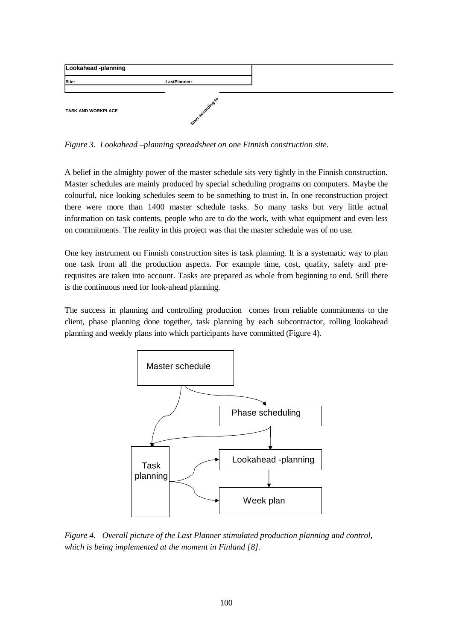

*Figure 3. Lookahead –planning spreadsheet on one Finnish construction site.*

A belief in the almighty power of the master schedule sits very tightly in the Finnish construction. Master schedules are mainly produced by special scheduling programs on computers. Maybe the colourful, nice looking schedules seem to be something to trust in. In one reconstruction project there were more than 1400 master schedule tasks. So many tasks but very little actual information on task contents, people who are to do the work, with what equipment and even less on commitments. The reality in this project was that the master schedule was of no use.

One key instrument on Finnish construction sites is task planning. It is a systematic way to plan one task from all the production aspects. For example time, cost, quality, safety and prerequisites are taken into account. Tasks are prepared as whole from beginning to end. Still there is the continuous need for look-ahead planning.

The success in planning and controlling production comes from reliable commitments to the client, phase planning done together, task planning by each subcontractor, rolling lookahead planning and weekly plans into which participants have committed (Figure 4).



*Figure 4. Overall picture of the Last Planner stimulated production planning and control, which is being implemented at the moment in Finland [8].*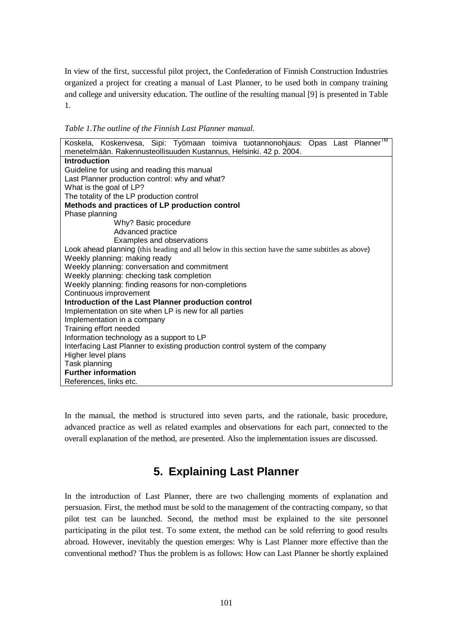In view of the first, successful pilot project, the Confederation of Finnish Construction Industries organized a project for creating a manual of Last Planner, to be used both in company training and college and university education. The outline of the resulting manual [9] is presented in Table 1.

*Table 1.The outline of the Finnish Last Planner manual.*

| Koskela, Koskenvesa, Sipi: Työmaan toimiva tuotannonohjaus: Opas Last Planner<br>menetelmään. Rakennusteollisuuden Kustannus, Helsinki. 42 p. 2004. |
|-----------------------------------------------------------------------------------------------------------------------------------------------------|
| Introduction                                                                                                                                        |
| Guideline for using and reading this manual                                                                                                         |
| Last Planner production control: why and what?                                                                                                      |
| What is the goal of LP?                                                                                                                             |
| The totality of the LP production control                                                                                                           |
| Methods and practices of LP production control                                                                                                      |
| Phase planning                                                                                                                                      |
| Why? Basic procedure                                                                                                                                |
| Advanced practice                                                                                                                                   |
| Examples and observations                                                                                                                           |
| Look ahead planning (this heading and all below in this section have the same subtitles as above)                                                   |
| Weekly planning: making ready                                                                                                                       |
| Weekly planning: conversation and commitment                                                                                                        |
| Weekly planning: checking task completion                                                                                                           |
| Weekly planning: finding reasons for non-completions                                                                                                |
| Continuous improvement                                                                                                                              |
|                                                                                                                                                     |
| Introduction of the Last Planner production control                                                                                                 |
| Implementation on site when LP is new for all parties                                                                                               |
| Implementation in a company                                                                                                                         |
| Training effort needed                                                                                                                              |
| Information technology as a support to LP                                                                                                           |
| Interfacing Last Planner to existing production control system of the company                                                                       |
| Higher level plans                                                                                                                                  |
| Task planning                                                                                                                                       |
| <b>Further information</b>                                                                                                                          |
| References, links etc.                                                                                                                              |

In the manual, the method is structured into seven parts, and the rationale, basic procedure, advanced practice as well as related examples and observations for each part, connected to the overall explanation of the method, are presented. Also the implementation issues are discussed.

# **5. Explaining Last Planner**

In the introduction of Last Planner, there are two challenging moments of explanation and persuasion. First, the method must be sold to the management of the contracting company, so that pilot test can be launched. Second, the method must be explained to the site personnel participating in the pilot test. To some extent, the method can be sold referring to good results abroad. However, inevitably the question emerges: Why is Last Planner more effective than the conventional method? Thus the problem is as follows: How can Last Planner be shortly explained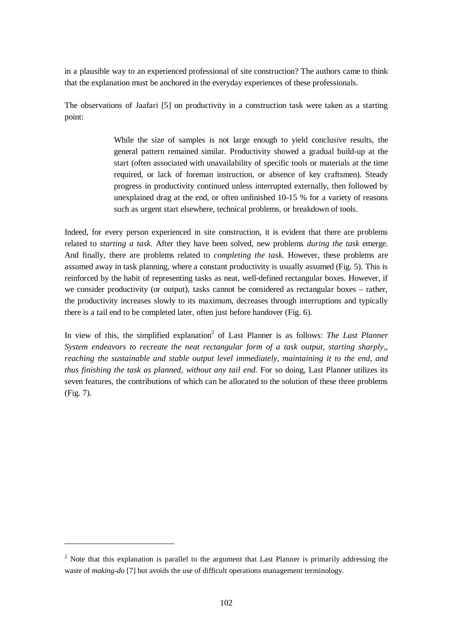in a plausible way to an experienced professional of site construction? The authors came to think that the explanation must be anchored in the everyday experiences of these professionals.

The observations of Jaafari [5] on productivity in a construction task were taken as a starting point:

> While the size of samples is not large enough to yield conclusive results, the general pattern remained similar. Productivity showed a gradual build-up at the start (often associated with unavailability of specific tools or materials at the time required, or lack of foreman instruction, or absence of key craftsmen). Steady progress in productivity continued unless interrupted externally, then followed by unexplained drag at the end, or often unfinished 10-15 % for a variety of reasons such as urgent start elsewhere, technical problems, or breakdown of tools.

Indeed, for every person experienced in site construction, it is evident that there are problems related to *starting a task*. After they have been solved, new problems *during the task* emerge. And finally, there are problems related to *completing the task*. However, these problems are assumed away in task planning, where a constant productivity is usually assumed (Fig. 5). This is reinforced by the habit of representing tasks as neat, well-defined rectangular boxes. However, if we consider productivity (or output), tasks cannot be considered as rectangular boxes – rather, the productivity increases slowly to its maximum, decreases through interruptions and typically there is a tail end to be completed later, often just before handover (Fig. 6).

In view of this, the simplified explanation<sup>2</sup> of Last Planner is as follows: *The Last Planner System endeavors to recreate the neat rectangular form of a task output, starting sharply,, reaching the sustainable and stable output level immediately, maintaining it to the end, and thus finishing the task as planned, without any tail end.* For so doing, Last Planner utilizes its seven features, the contributions of which can be allocated to the solution of these three problems (Fig. 7).

 $2$  Note that this explanation is parallel to the argument that Last Planner is primarily addressing the waste of *making-do* [7] but avoids the use of difficult operations management terminology.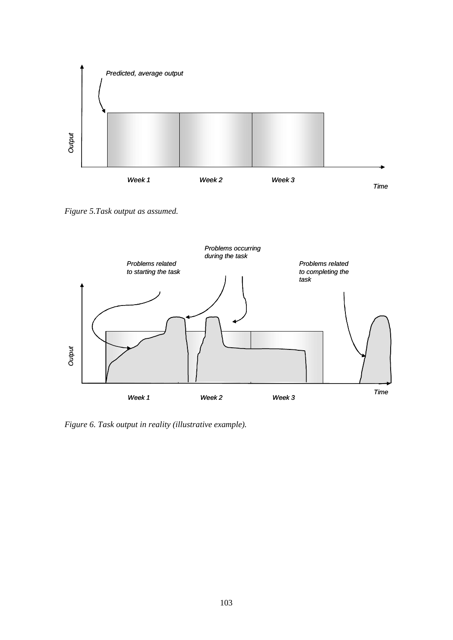

*Figure 5.Task output as assumed.*



*Figure 6. Task output in reality (illustrative example).*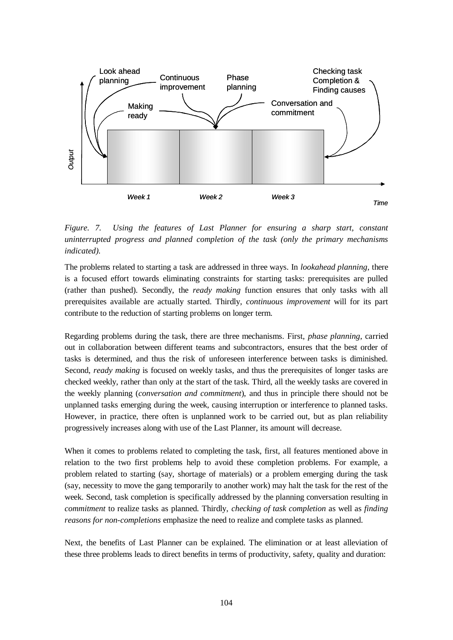

*Figure. 7. Using the features of Last Planner for ensuring a sharp start, constant uninterrupted progress and planned completion of the task (only the primary mechanisms indicated).*

The problems related to starting a task are addressed in three ways. In *lookahead planning*, there is a focused effort towards eliminating constraints for starting tasks: prerequisites are pulled (rather than pushed). Secondly, the *ready making* function ensures that only tasks with all prerequisites available are actually started. Thirdly, *continuous improvement* will for its part contribute to the reduction of starting problems on longer term.

Regarding problems during the task, there are three mechanisms. First, *phase planning*, carried out in collaboration between different teams and subcontractors, ensures that the best order of tasks is determined, and thus the risk of unforeseen interference between tasks is diminished. Second, *ready making* is focused on weekly tasks, and thus the prerequisites of longer tasks are checked weekly, rather than only at the start of the task. Third, all the weekly tasks are covered in the weekly planning (*conversation and commitment*), and thus in principle there should not be unplanned tasks emerging during the week, causing interruption or interference to planned tasks. However, in practice, there often is unplanned work to be carried out, but as plan reliability progressively increases along with use of the Last Planner, its amount will decrease.

When it comes to problems related to completing the task, first, all features mentioned above in relation to the two first problems help to avoid these completion problems. For example, a problem related to starting (say, shortage of materials) or a problem emerging during the task (say, necessity to move the gang temporarily to another work) may halt the task for the rest of the week. Second, task completion is specifically addressed by the planning conversation resulting in *commitment* to realize tasks as planned. Thirdly, *checking of task completion* as well as *finding reasons for non-completions* emphasize the need to realize and complete tasks as planned.

Next, the benefits of Last Planner can be explained. The elimination or at least alleviation of these three problems leads to direct benefits in terms of productivity, safety, quality and duration: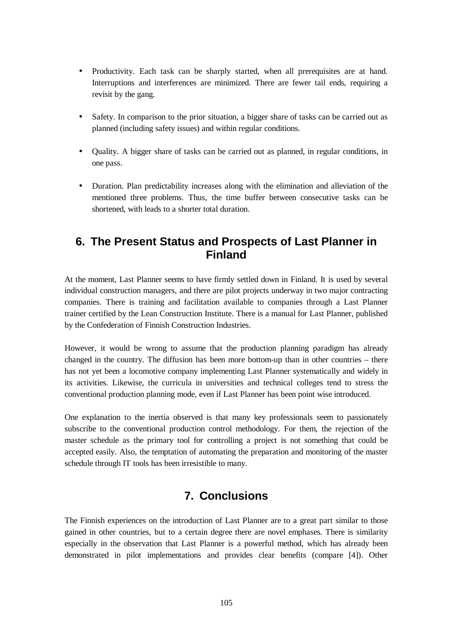- Productivity. Each task can be sharply started, when all prerequisites are at hand. Interruptions and interferences are minimized. There are fewer tail ends, requiring a revisit by the gang.
- Safety. In comparison to the prior situation, a bigger share of tasks can be carried out as planned (including safety issues) and within regular conditions.
- Quality. A bigger share of tasks can be carried out as planned, in regular conditions, in one pass.
- Duration. Plan predictability increases along with the elimination and alleviation of the mentioned three problems. Thus, the time buffer between consecutive tasks can be shortened, with leads to a shorter total duration.

### **6. The Present Status and Prospects of Last Planner in Finland**

At the moment, Last Planner seems to have firmly settled down in Finland. It is used by several individual construction managers, and there are pilot projects underway in two major contracting companies. There is training and facilitation available to companies through a Last Planner trainer certified by the Lean Construction Institute. There is a manual for Last Planner, published by the Confederation of Finnish Construction Industries.

However, it would be wrong to assume that the production planning paradigm has already changed in the country. The diffusion has been more bottom-up than in other countries – there has not yet been a locomotive company implementing Last Planner systematically and widely in its activities. Likewise, the curricula in universities and technical colleges tend to stress the conventional production planning mode, even if Last Planner has been point wise introduced.

One explanation to the inertia observed is that many key professionals seem to passionately subscribe to the conventional production control methodology. For them, the rejection of the master schedule as the primary tool for controlling a project is not something that could be accepted easily. Also, the temptation of automating the preparation and monitoring of the master schedule through IT tools has been irresistible to many.

# **7. Conclusions**

The Finnish experiences on the introduction of Last Planner are to a great part similar to those gained in other countries, but to a certain degree there are novel emphases. There is similarity especially in the observation that Last Planner is a powerful method, which has already been demonstrated in pilot implementations and provides clear benefits (compare [4]). Other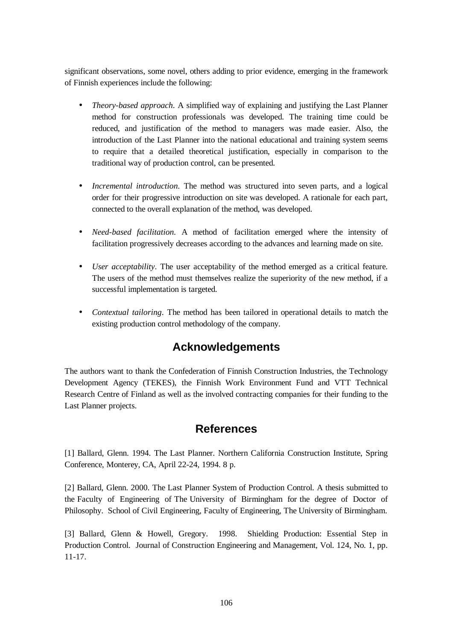significant observations, some novel, others adding to prior evidence, emerging in the framework of Finnish experiences include the following:

- *Theory-based approach*. A simplified way of explaining and justifying the Last Planner method for construction professionals was developed. The training time could be reduced, and justification of the method to managers was made easier. Also, the introduction of the Last Planner into the national educational and training system seems to require that a detailed theoretical justification, especially in comparison to the traditional way of production control, can be presented.
- *Incremental introduction*. The method was structured into seven parts, and a logical order for their progressive introduction on site was developed. A rationale for each part, connected to the overall explanation of the method, was developed.
- *Need-based facilitation.* A method of facilitation emerged where the intensity of facilitation progressively decreases according to the advances and learning made on site.
- *User acceptability*. The user acceptability of the method emerged as a critical feature. The users of the method must themselves realize the superiority of the new method, if a successful implementation is targeted.
- *Contextual tailoring*. The method has been tailored in operational details to match the existing production control methodology of the company.

## **Acknowledgements**

The authors want to thank the Confederation of Finnish Construction Industries, the Technology Development Agency (TEKES), the Finnish Work Environment Fund and VTT Technical Research Centre of Finland as well as the involved contracting companies for their funding to the Last Planner projects.

### **References**

[1] Ballard, Glenn. 1994. The Last Planner. Northern California Construction Institute, Spring Conference, Monterey, CA, April 22-24, 1994. 8 p.

[2] Ballard, Glenn. 2000. The Last Planner System of Production Control. A thesis submitted to the Faculty of Engineering of The University of Birmingham for the degree of Doctor of Philosophy. School of Civil Engineering, Faculty of Engineering, The University of Birmingham.

[3] Ballard, Glenn & Howell, Gregory. 1998. Shielding Production: Essential Step in Production Control. Journal of Construction Engineering and Management, Vol. 124, No. 1, pp. 11-17.